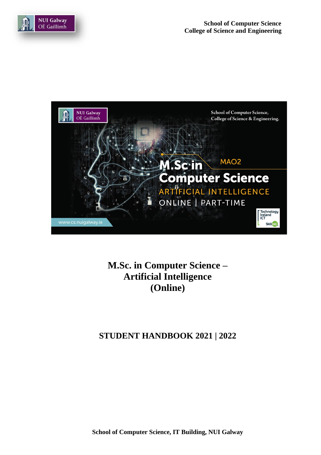



**M.Sc. in Computer Science – Artificial Intelligence (Online)**

**STUDENT HANDBOOK 2021 | 2022**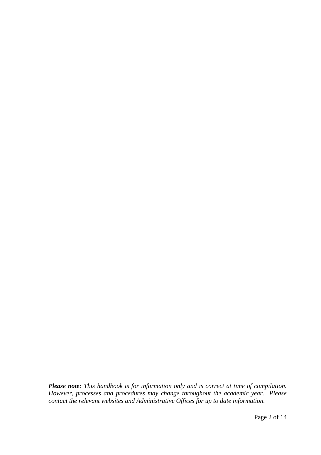*Please note: This handbook is for information only and is correct at time of compilation. However, processes and procedures may change throughout the academic year. Please contact the relevant websites and Administrative Offices for up to date information.*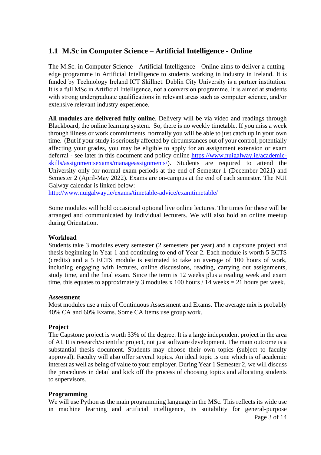## **1.1 M.Sc in Computer Science – Artificial Intelligence - Online**

The M.Sc. in Computer Science - Artificial Intelligence - Online aims to deliver a cuttingedge programme in Artificial Intelligence to students working in industry in Ireland. It is funded by Technology Ireland ICT Skillnet. Dublin City University is a partner institution. It is a full MSc in Artificial Intelligence, not a conversion programme. It is aimed at students with strong undergraduate qualifications in relevant areas such as computer science, and/or extensive relevant industry experience.

**All modules are delivered fully online**. Delivery will be via video and readings through Blackboard, the online learning system. So, there is no weekly timetable. If you miss a week through illness or work commitments, normally you will be able to just catch up in your own time. (But if your study is seriously affected by circumstances out of your control, potentially affecting your grades, you may be eligible to apply for an assignment extension or exam deferral - see later in this document and policy online [https://www.nuigalway.ie/academic](https://www.nuigalway.ie/academic-skills/assignmentsexams/manageassignments/)[skills/assignmentsexams/manageassignments/\)](https://www.nuigalway.ie/academic-skills/assignmentsexams/manageassignments/). Students are required to attend the University only for normal exam periods at the end of Semester 1 (December 2021) and Semester 2 (April-May 2022). Exams are on-campus at the end of each semester. The NUI Galway calendar is linked below:

<http://www.nuigalway.ie/exams/timetable-advice/examtimetable/>

Some modules will hold occasional optional live online lectures. The times for these will be arranged and communicated by individual lecturers. We will also hold an online meetup during Orientation.

### **Workload**

Students take 3 modules every semester (2 semesters per year) and a capstone project and thesis beginning in Year 1 and continuing to end of Year 2. Each module is worth 5 ECTS (credits) and a 5 ECTS module is estimated to take an average of 100 hours of work, including engaging with lectures, online discussions, reading, carrying out assignments, study time, and the final exam. Since the term is 12 weeks plus a reading week and exam time, this equates to approximately 3 modules x 100 hours  $/$  14 weeks = 21 hours per week.

#### **Assessment**

Most modules use a mix of Continuous Assessment and Exams. The average mix is probably 40% CA and 60% Exams. Some CA items use group work.

#### **Project**

The Capstone project is worth 33% of the degree. It is a large independent project in the area of AI. It is research/scientific project, not just software development. The main outcome is a substantial thesis document. Students may choose their own topics (subject to faculty approval). Faculty will also offer several topics. An ideal topic is one which is of academic interest as well as being of value to your employer. During Year 1 Semester 2, we will discuss the procedures in detail and kick off the process of choosing topics and allocating students to supervisors.

#### **Programming**

We will use Python as the main programming language in the MSc. This reflects its wide use in machine learning and artificial intelligence, its suitability for general-purpose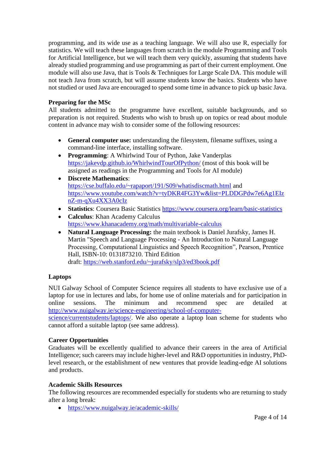programming, and its wide use as a teaching language. We will also use R, especially for statistics. We will teach these languages from scratch in the module Programming and Tools for Artificial Intelligence, but we will teach them very quickly, assuming that students have already studied programming and use programming as part of their current employment. One module will also use Java, that is Tools & Techniques for Large Scale DA. This module will not teach Java from scratch, but will assume students know the basics. Students who have not studied or used Java are encouraged to spend some time in advance to pick up basic Java.

### **Preparing for the MSc**

All students admitted to the programme have excellent, suitable backgrounds, and so preparation is not required. Students who wish to brush up on topics or read about module content in advance may wish to consider some of the following resources:

- **General computer use:** understanding the filesystem, filename suffixes, using a command-line interface, installing software.
- **Programming**: A Whirlwind Tour of Python, Jake Vanderplas <https://jakevdp.github.io/WhirlwindTourOfPython/> (most of this book will be assigned as readings in the Programming and Tools for AI module)
- **Discrete Mathematics**: <https://cse.buffalo.edu/~rapaport/191/S09/whatisdiscmath.html> and [https://www.youtube.com/watch?v=tyDKR4FG3Yw&list=PLDDGPdw7e6Ag1EIz](https://www.youtube.com/watch?v=tyDKR4FG3Yw&list=PLDDGPdw7e6Ag1EIznZ-m-qXu4XX3A0cIz) [nZ-m-qXu4XX3A0cIz](https://www.youtube.com/watch?v=tyDKR4FG3Yw&list=PLDDGPdw7e6Ag1EIznZ-m-qXu4XX3A0cIz)
- **Statistics**: Coursera Basic Statistics <https://www.coursera.org/learn/basic-statistics>
- **Calculus**: Khan Academy Calculus <https://www.khanacademy.org/math/multivariable-calculus>
- **Natural Language Processing:** the main textbook is Daniel Jurafsky, James H. Martin "Speech and Language Processing - An Introduction to Natural Language Processing, Computational Linguistics and Speech Recognition", Pearson, Prentice Hall, ISBN-10: 0131873210. Third Edition draft: <https://web.stanford.edu/~jurafsky/slp3/ed3book.pdf>

### **Laptops**

NUI Galway School of Computer Science requires all students to have exclusive use of a laptop for use in lectures and labs, for home use of online materials and for participation in online sessions. The minimum and recommend spec are detailed at [http://www.nuigalway.ie/science-engineering/school-of-computer-](http://www.nuigalway.ie/science-engineering/school-of-computer-science/currentstudents/laptops/)

[science/currentstudents/laptops/.](http://www.nuigalway.ie/science-engineering/school-of-computer-science/currentstudents/laptops/) We also operate a laptop loan scheme for students who cannot afford a suitable laptop (see same address).

#### **Career Opportunities**

Graduates will be excellently qualified to advance their careers in the area of Artificial Intelligence; such careers may include higher-level and R&D opportunities in industry, PhDlevel research, or the establishment of new ventures that provide leading-edge AI solutions and products.

#### **Academic Skills Resources**

The following resources are recommended especially for students who are returning to study after a long break:

• <https://www.nuigalway.ie/academic-skills/>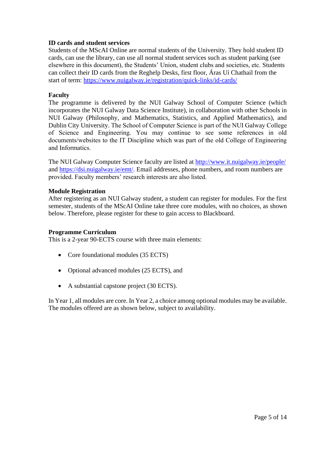#### **ID cards and student services**

Students of the MScAI Online are normal students of the University. They hold student ID cards, can use the library, can use all normal student services such as student parking (see elsewhere in this document), the Students' Union, student clubs and societies, etc. Students can collect their ID cards from the Reghelp Desks, first floor, Áras Uí Chathail from the start of term:<https://www.nuigalway.ie/registration/quick-links/id-cards/>

#### **Faculty**

The programme is delivered by the NUI Galway School of Computer Science (which incorporates the NUI Galway Data Science Institute), in collaboration with other Schools in NUI Galway (Philosophy, and Mathematics, Statistics, and Applied Mathematics), and Dublin City University. The School of Computer Science is part of the NUI Galway College of Science and Engineering. You may continue to see some references in old documents/websites to the IT Discipline which was part of the old College of Engineering and Informatics.

The NUI Galway Computer Science faculty are listed at<http://www.it.nuigalway.ie/people/> and [https://dsi.nuigalway.ie/emt/.](https://dsi.nuigalway.ie/emt/) Email addresses, phone numbers, and room numbers are provided. Faculty members' research interests are also listed.

#### **Module Registration**

After registering as an NUI Galway student, a student can register for modules. For the first semester, students of the MScAI Online take three core modules, with no choices, as shown below. Therefore, please register for these to gain access to Blackboard.

#### **Programme Curriculum**

This is a 2-year 90-ECTS course with three main elements:

- Core foundational modules (35 ECTS)
- Optional advanced modules (25 ECTS), and
- A substantial capstone project (30 ECTS).

In Year 1, all modules are core. In Year 2, a choice among optional modules may be available. The modules offered are as shown below, subject to availability.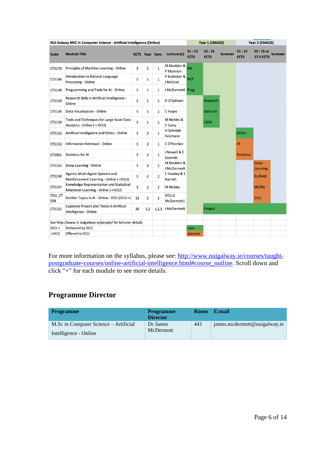|               | NUI Galway MSC in Computer Science - Artificial Intelligence (Online)            |    | <b>Year 1 (1MAO2)</b> |                       |                                | <b>Year 2 (2MAO2)</b> |                      |               |                      |                                |               |
|---------------|----------------------------------------------------------------------------------|----|-----------------------|-----------------------|--------------------------------|-----------------------|----------------------|---------------|----------------------|--------------------------------|---------------|
| Code          | <b>Module Title</b>                                                              |    |                       | <b>ECTS</b> Year Sem. | Lecturer(s)                    | S1:15<br><b>ECTS</b>  | S2:15<br><b>ECTS</b> | <b>Summer</b> | S1:15<br><b>ECTS</b> | S2 : 15 or<br><b>17.5 ECTS</b> | <b>Summer</b> |
| CT5170        | Principles of Machine Learning - Online                                          | 5  | 1                     | $\mathbf 1$           | M Madden &<br>P Mannion        | <b>ML</b>             |                      |               |                      |                                |               |
| CT5146        | Introduction to Natural Language<br>Processing - Online                          | 5  | 1                     | 1                     | P Buitelaar &<br>J McCrae      | <b>NLP</b>            |                      |               |                      |                                |               |
| CT5148        | Programming and Tools for AI - Online                                            | 5  | 1                     | 1                     | J McDermott Prog               |                       |                      |               |                      |                                |               |
| CT5149        | Research Skills in Artificial Intelligence -<br>Online                           | 5  | 1                     | 2                     | D O'Sullivan                   |                       | Research             |               |                      |                                |               |
| CT5136        | Data Visualisation - Online                                                      | 5  | 1                     | 2                     | C Hayes                        |                       | Data Viz             |               |                      |                                |               |
| CT5150        | Tools and Techniques for Large Scale Data<br>Analytics - Online (-> DCU)         | 5  | 1                     | $\overline{2}$        | M Nickles &<br>E Curry         |                       | <b>LSDA</b>          |               |                      |                                |               |
| CT5152        | Artificial Intelligence and Ethics - Online                                      | 5  | $\overline{2}$        | 1                     | H Schmidt-<br>Felzmann         |                       |                      |               | <b>Ethics</b>        |                                |               |
| CT5153        | <b>Information Retrieval - Online</b>                                            | 5  | 2                     | 1                     | CO'Riordan                     |                       |                      |               | IR                   |                                |               |
| ST5001        | <b>Statistics for AI</b>                                                         | 5  | 2                     | 1                     | J Newell & C<br>Scarrott       |                       |                      |               | <b>Statistics</b>    |                                |               |
| CT5145        | Deep Learning - Online                                                           | 5  | $\overline{2}$        | $\overline{2}$        | M Madden &<br>J McDermott      |                       |                      |               |                      | <b>Deep</b><br><b>Learning</b> |               |
| CT5130        | Agents, Multi-Agent Systems and<br>Reinforcement Learning - Online (->DCU)       | 5  | $\overline{2}$        | 2                     | E Howley & E<br><b>Barrett</b> |                       |                      |               |                      | <b>RL/MAS</b>                  |               |
| CT5147        | Knowledge Representation and Statistical<br>Relational Learning - Online (->DCU) | 5  | 2                     | 2                     | <b>M Nickles</b>               |                       |                      |               |                      | <b>KR/SRL</b>                  |               |
| DCU_CT<br>558 | Further Topics in AI - Online - DCU (DCU->)                                      | 15 | 2                     | 2                     | DCU (J<br>McDermott)           |                       |                      |               |                      | <b>DCU</b>                     |               |
| CT5131        | Capstone Project and Thesis in Artificial<br>Intelligence - Online               | 30 | 1,2                   | 1,2,3                 | J McDermott                    |                       | Project              |               |                      |                                |               |
|               | See http://www.it.nuigalway.ie/people/ for lecturer details                      |    |                       |                       |                                |                       |                      |               |                      |                                |               |
| DCU->         | Delivered by DCU                                                                 |    |                       |                       |                                | core                  |                      |               |                      |                                |               |
| ->DCU         | Offered to DCU                                                                   |    |                       |                       |                                | optional              |                      |               |                      |                                |               |

For more information on the syllabus, please see: [http://www.nuigalway.ie/courses/taught](http://www.nuigalway.ie/courses/taught-postgraduate-courses/online-artificial-intelligence.html#course_outline)[postgraduate-courses/online-artificial-intelligence.html#course\\_outline.](http://www.nuigalway.ie/courses/taught-postgraduate-courses/online-artificial-intelligence.html#course_outline) Scroll down and click "+" for each module to see more details.

# **Programme Director**

| <b>Programme</b>                      | <b>Programme</b><br><b>Director</b> | <b>Room</b> | E:mail                       |
|---------------------------------------|-------------------------------------|-------------|------------------------------|
| M.Sc in Computer Science – Artificial | Dr James                            | 441         | james.mcdermott@nuigalway.ie |
| Intelligence - Online                 | McDermott                           |             |                              |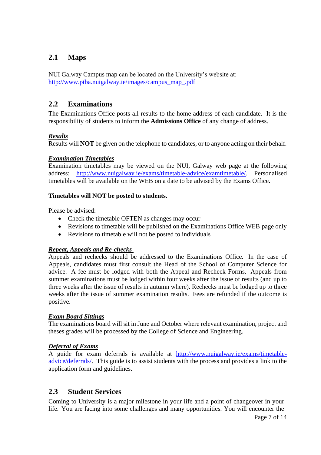## **2.1 Maps**

NUI Galway Campus map can be located on the University's website at: [http://www.ptba.nuigalway.ie/images/campus\\_map\\_.pdf](http://www.ptba.nuigalway.ie/images/campus_map_.pdf)

## **2.2 Examinations**

The Examinations Office posts all results to the home address of each candidate. It is the responsibility of students to inform the **Admissions Office** of any change of address.

### *Results*

Results will **NOT** be given on the telephone to candidates, or to anyone acting on their behalf.

### *Examination Timetables*

Examination timetables may be viewed on the NUI, Galway web page at the following address: [http://www.nuigalway.ie/exams/timetable-advice/examtimetable/.](http://www.nuigalway.ie/exams/timetable-advice/examtimetable/) Personalised timetables will be available on the WEB on a date to be advised by the Exams Office.

### **Timetables will NOT be posted to students.**

Please be advised:

- Check the timetable OFTEN as changes may occur
- Revisions to timetable will be published on the Examinations Office WEB page only
- Revisions to timetable will not be posted to individuals

## *Repeat, Appeals and Re-checks*

Appeals and rechecks should be addressed to the Examinations Office. In the case of Appeals, candidates must first consult the Head of the School of Computer Science for advice. A fee must be lodged with both the Appeal and Recheck Forms. Appeals from summer examinations must be lodged within four weeks after the issue of results (and up to three weeks after the issue of results in autumn where). Rechecks must be lodged up to three weeks after the issue of summer examination results. Fees are refunded if the outcome is positive.

### *Exam Board Sittings*

The examinations board will sit in June and October where relevant examination, project and theses grades will be processed by the College of Science and Engineering.

## *Deferral of Exams*

A guide for exam deferrals is available at [http://www.nuigalway.ie/exams/timetable](http://www.nuigalway.ie/exams/timetable-advice/deferrals/)[advice/deferrals/.](http://www.nuigalway.ie/exams/timetable-advice/deferrals/) This guide is to assist students with the process and provides a link to the application form and guidelines.

## **2.3 Student Services**

Coming to University is a major milestone in your life and a point of changeover in your life. You are facing into some challenges and many opportunities. You will encounter the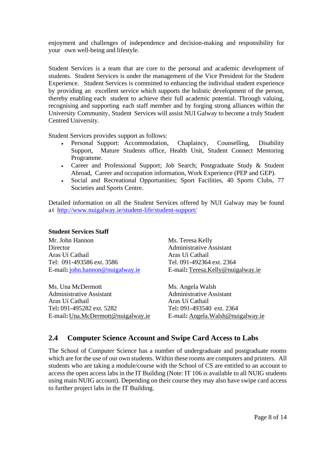enjoyment and challenges of independence and decision-making and responsibility for your own well-being and lifestyle.

Student Services is a team that are core to the personal and academic development of students. Student Services is under the management of the [Vice President for the Student](http://www.nuigalway.ie/student_services/patmorganvpse.html)  [Experience.](http://www.nuigalway.ie/student_services/patmorganvpse.html) Student Services is committed to enhancing the individual student experience by providing an excellent service which supports the holistic development of the person, thereby enabling each student to achieve their full academic potential. Through valuing, recognising and supporting each staff member and by forging strong alliances within the University Community, Student Services will assist NUI Galway to become a truly Student Centred University.

Student Services provides support as follows:

- Personal Support: [Accommodation,](http://www.nuigalway.ie/student_life/student_services/accommodation_office/) [Chaplaincy,](http://www.nuigalway.ie/student_services/chaplains/) [Counselling,](http://www.nuigalway.ie/student_services/counsellors/) [Disability](http://www.nuigalway.ie/student_services/disability_office/) [Support,](http://www.nuigalway.ie/student_services/disability_office/) Mature [Students](http://www.nuigalway.ie/mature_students/) office, [Health](http://www.nuigalway.ie/student_services/health_unit/) Unit, Student Connect [Mentoring](http://www.student-connect.nuigalway.ie/) [Programme.](http://www.student-connect.nuigalway.ie/)
- Career and [Professional](http://www.nuigalway.ie/careers/) Support; Job Search; Postgraduate Study & Student Abroad, Career and occupation information, Work Experience (PEP and GEP).
- Social and Recreational Opportunities; Sport [Facilities,](http://sports.nuigalway.ie/display_page.php?page_id=2) 40 Sports [Clubs,](http://www.sports.nuigalway.ie/) [77](http://www.socs.nuigalway.ie/) [Societies](http://www.socs.nuigalway.ie/) and Sports Centre.

Detailed information on all the Student Services offered by NUI Galway may be found a t <http://www.nuigalway.ie/student-life/student-support/>

#### **Student Services Staff**

Mr. John Hannon Ms. Teresa Kelly Director Administrative Assistant Aras Uí Cathail Aras Uí Cathail Tel: 091-493586 ext. 3586 Tel. 091-492364 ext. 2364 E-mail**:** [john.hannon@nuigalway.ie](mailto:john.hannon@nuigalway.ie) E-mail**:**[Teresa.Kelly@nuigalway.ie](mailto:Teresa.Kelly@nuigalway.ie)

Ms. Una McDermott Ms. Angela Walsh Administrative Assistant Administrative Assistant Aras Uí Cathail Aras Uí Cathail Tel**:** 091-495282 ext. 5282 Tel**:** 091-493540 ext. 2364

E-mail**:**[Una.McDermott@nuigalway.ie](mailto:Una.McDermott@nuigalway.ie) E-mail**:** [Angela.Walsh@nuigalway.ie](mailto:Angela.Walsh@nuigalway.ie)

## **2.4 Computer Science Account and Swipe Card Access to Labs**

The School of Computer Science has a number of undergraduate and postgraduate rooms which are for the use of our own students. Within these rooms are computers and printers. All students who are taking a module/course with the School of CS are entitled to an account to access the open access labs in the IT Building (Note: IT 106 is available to all NUIG students using main NUIG account). Depending on their course they may also have swipe card access to further project labs in the IT Building.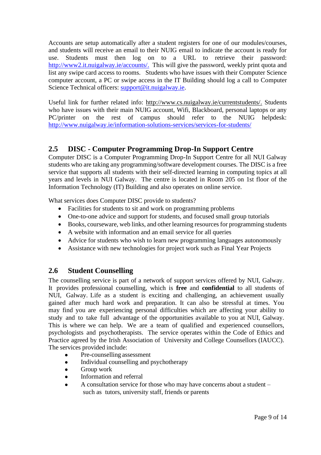Accounts are setup automatically after a student registers for one of our modules/courses, and students will receive an email to their NUIG email to indicate the account is ready for use. Students must then log on to a URL to retrieve their password: [http://www2.it.nuigalway.ie/accounts/.](http://www2.it.nuigalway.ie/accounts/) This will give the password, weekly print quota and list any swipe card access to rooms. Students who have issues with their Computer Science computer account, a PC or swipe access in the IT Building should log a call to Computer Science Technical officers: [support@it.nuigalway.ie.](mailto:support@it.nuigalway.ie)

Useful link for further related info: [http://www.cs.nuigalway.ie/currentstudents/.](http://www.cs.nuigalway.ie/currentstudents/) Students who have issues with their main NUIG account, Wifi, Blackboard, personal laptops or any PC/printer on the rest of campus should refer to the NUIG helpdesk: <http://www.nuigalway.ie/information-solutions-services/services-for-students/>

## **2.5 DISC - Computer Programming Drop-In Support Centre**

Computer DISC is a Computer Programming Drop-In Support Centre for all NUI Galway students who are taking any programming/software development courses. The DISC is a free service that supports all students with their self-directed learning in computing topics at all years and levels in NUI Galway. The centre is located in Room 205 on 1st floor of the Information Technology (IT) Building and also operates on online service.

What services does Computer DISC provide to students?

- Facilities for students to sit and work on programming problems
- One-to-one advice and support for students, and focused small group tutorials
- Books, courseware, web links, and other learning resources for programming students
- A website with information and an email service for all queries
- Advice for students who wish to learn new programming languages autonomously
- Assistance with new technologies for project work such as Final Year Projects

## **2.6 Student Counselling**

The counselling service is part of a network of support services offered by NUI, Galway. It provides professional counselling, which is **free** and **confidential** to all students of NUI, Galway. Life as a student is exciting and challenging, an achievement usually gained after much hard work and preparation. It can also be stressful at times. You may find you are experiencing personal difficulties which are affecting your ability to study and to take full advantage of the opportunities available to you at NUI, Galway. This is where we can help. We are a team of qualified and experienced counsellors, psychologists and psychotherapists. The service operates within the Code of Ethics and Practice agreed by the Irish Association of University and College Counsellors (IAUCC). The services provided include:

- Pre-counselling assessment
- Individual counselling and psychotherapy
- Group work
- Information and referral
- A consultation service for those who may have concerns about a student such as tutors, university staff, friends or parents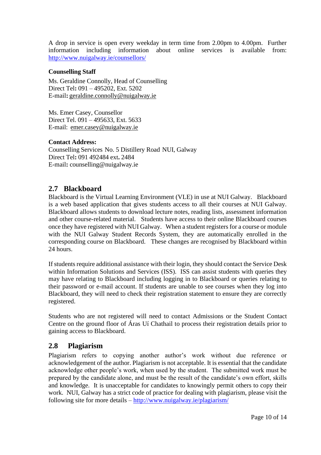A drop in service is open every weekday in term time from 2.00pm to 4.00pm. Further information including information about online services is available from: information including information about online services is available from: <http://www.nuigalway.ie/counsellors/>

#### **Counselling Staff**

Ms. Geraldine Connolly, Head of Counselling Direct Tel**:** 091 – 495202, Ext. 5202 E-mail**:** [geraldine.connolly@nuigalway.ie](mailto:geraldine.connolly@nuigalway.ie)

Ms. Emer Casey, Counsellor Direct Tel. 091 – 495633, Ext. 5633 E-mail: [emer.casey@nuigalway.ie](mailto:emer.casey@nuigalway.ie)

#### **Contact Address:**

Counselling Services No. 5 Distillery Road NUI, Galway Direct Tel**:** 091 492484 ext**.** 2484 E-mail**:** [counselling@nuigalway.ie](mailto:counselling@nuigalway.ie)

## **2.7 Blackboard**

Blackboard is the Virtual Learning Environment (VLE) in use at NUI Galway. Blackboard is a web based application that gives students access to all their courses at NUI Galway. Blackboard allows students to download lecture notes, reading lists, assessment information and other course-related material. Students have access to their online Blackboard courses once they have registered with NUI Galway. When a student registers for a course or module with the NUI Galway Student Records System, they are automatically enrolled in the corresponding course on Blackboard. These changes are recognised by Blackboard within 24 hours.

If students require additional assistance with their login, they should contact the Service Desk within Information Solutions and Services (ISS). ISS can assist students with queries they may have relating to Blackboard including logging in to Blackboard or queries relating to their password or e-mail account. If students are unable to see courses when they log into Blackboard, they will need to check their registration statement to ensure they are correctly registered.

Students who are not registered will need to contact [Admissions](http://www.nuigalway.ie/admissions/) or the [Student Contact](http://www.nuigalway.ie/student-contact-centre/)  [Centre](http://www.nuigalway.ie/student-contact-centre/) on the ground floor of Áras Uí Chathail to process their registration details prior to gaining access to Blackboard.

## **2.8 Plagiarism**

Plagiarism refers to copying another author's work without due reference or acknowledgement of the author. Plagiarism is not acceptable. It is essential that the candidate acknowledge other people's work, when used by the student. The submitted work must be prepared by the candidate alone, and must be the result of the candidate's own effort, skills and knowledge. It is unacceptable for candidates to knowingly permit others to copy their work. NUI, Galway has a strict code of practice for dealing with plagiarism, please visit the following site for more details – <http://www.nuigalway.ie/plagiarism/>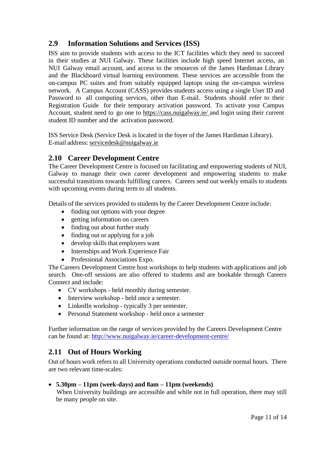## **2.9 Information Solutions and Services (ISS)**

ISS aim to provide students with access to the ICT facilities which they need to succeed in their studies at NUI Galway. These facilities include high speed Internet access, an NUI Galway email account, and access to the resources of the James Hardiman Library and the Blackboard virtual learning environment. These services are accessible from the on-campus PC suites and from suitably equipped laptops using the on-campus wireless network. A Campus Account (CASS) provides students access using a single User ID and Password to all computing services, other than E-mail. Students should refer to their Registration Guide for their temporary activation password. To activate your Campus Account, student need to go one to <https://cass.nuigalway.ie/> and login using their current student ID number and the activation password.

ISS [Service](http://www.nuigalway.ie/information-solutions-and-services/about/service-desk/index.html) Desk (Service Desk is located in the foyer of the James Hardiman Library). E-mail address: [servicedesk@nuigalway.ie](mailto:servicedesk@nuigalway.ie)

## **2.10 Career Development Centre**

The Career Development Centre is focused on facilitating and empowering students of NUI, Galway to manage their own career development and empowering students to make successful transitions towards fulfilling careers. Careers send out weekly emails to students with upcoming events during term to all students.

Details of the services provided to students by the Career Development Centre include:

- finding out [options](http://www.nuigalway.ie/careers/students/degreeopp.html) with your degree
- getting [information](http://www.nuigalway.ie/careers/students/careerinfo.html) on careers
- [finding](http://www.nuigalway.ie/careers/students/courses.html) out about further study
- finding out [or applying for](http://www.nuigalway.ie/careers/students/job.html) a job
- develop skills that [employers](http://www.nuigalway.ie/careers/students/skills.html) want
- Internships and Work Experience Fair
- Professional Associations Expo.

The Careers Development Centre host workshops to help students with applications and job search. One-off sessions are also offered to students and are bookable through Careers Connect and include:

- CV workshops held monthly during semester.
- Interview workshop held once a semester.
- LinkedIn workshop typically 3 per semester.
- Personal Statement workshop held once a semester

Further information on the range of services provided by the Careers Development Centre can be found at:<http://www.nuigalway.ie/career-development-centre/>

## **2.11 Out of Hours Working**

Out of hours work refers to all University operations conducted outside normal hours. There are two relevant time-scales:

### • **5.30pm – 11pm (week-days) and 8am – 11pm (weekends)**

When University buildings are accessible and while not in full operation, there may still be many people on site.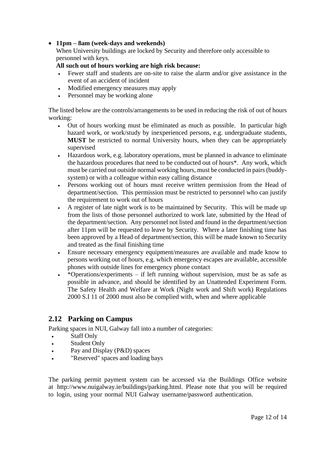### • **11pm – 8am (week-days and weekends)**

When University buildings are locked by Security and therefore only accessible to personnel with keys.

#### **All such out of hours working are high risk because:**

- Fewer staff and students are on-site to raise the alarm and/or give assistance in the event of an accident of incident
- Modified emergency measures may apply
- Personnel may be working alone

The listed below are the controls/arrangements to be used in reducing the risk of out of hours working:

- Out of hours working must be eliminated as much as possible. In particular high hazard work, or work/study by inexperienced persons, e.g. undergraduate students, **MUST** be restricted to normal University hours, when they can be appropriately supervised
- Hazardous work, e.g. laboratory operations, must be planned in advance to eliminate the hazardous procedures that need to be conducted out of hours\*. Any work, which must be carried out outside normal working hours, must be conducted in pairs (buddysystem) or with a colleague within easy calling distance
- Persons working out of hours must receive written permission from the Head of department/section. This permission must be restricted to personnel who can justify the requirement to work out of hours
- A register of late night work is to be maintained by Security. This will be made up from the lists of those personnel authorized to work late, submitted by the Head of the department/section. Any personnel not listed and found in the department/section after 11pm will be requested to leave by Security. Where a later finishing time has been approved by a Head of department/section, this will be made known to Security and treated as the final finishing time
- Ensure necessary emergency equipment/measures are available and made know to persons working out of hours, e.g. which emergency escapes are available, accessible phones with outside lines for emergency phone contact
- \* Operations/experiments if left running without supervision, must be as safe as possible in advance, and should be identified by an Unattended Experiment Form. The Safety Health and Welfare at Work (Night work and Shift work) Regulations 2000 S.I 11 of 2000 must also be complied with, when and where applicable

## **2.12 Parking on Campus**

Parking spaces in NUI, Galway fall into a number of categories:

- Staff Only
- Student Only
- Pay and Display (P&D) spaces
- "Reserved" spaces and loading bays

The parking permit payment system can be accessed via the Buildings Office website at [http://www.nuigalway.ie/buildings/parking.html.](http://www.nuigalway.ie/buildings/parking.html) Please note that you will be required to login, using your normal NUI Galway username/password authentication.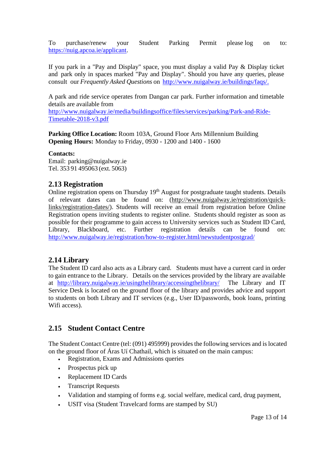To purchase/renew your Student Parking Permit please log on to: [https://nuig.apcoa.ie/applicant.](https://nuig.apcoa.ie/applicant)

If you park in a "Pay and Display" space, you must display a valid Pay & Display ticket and park only in spaces marked "Pay and Display". Should you have any queries, please consult our *Frequently Asked Questions* on [http://www.nuigalway.ie/buildings/faqs/.](http://www.nuigalway.ie/buildings/faqs/)

A park and ride service operates from Dangan car park. Further information and timetable details are available from

[http://www.nuigalway.ie/media/buildingsoffice/files/services/parking/Park-and-Ride-](http://www.nuigalway.ie/media/buildingsoffice/files/services/parking/Park-and-Ride-Timetable-2018-v3.pdf)[Timetable-2018-v3.pdf](http://www.nuigalway.ie/media/buildingsoffice/files/services/parking/Park-and-Ride-Timetable-2018-v3.pdf)

**Parking Office Location:** Room 103A, Ground Floor Arts Millennium Building **Opening Hours:** Monday to Friday, 0930 - 1200 and 1400 - 1600

#### **Contacts:**

Email: [parking@nuigalway.ie](mailto:parking@nuigalway.ie) Tel. 353 91 495063 (ext. 5063)

#### **2.13 Registration**

Online registration opens on Thursday 19<sup>th</sup> August for postgraduate taught students. Details of relevant dates can be found on: [\(http://www.nuigalway.ie/registration/quick](http://www.nuigalway.ie/registration/quick-links/registration-dates/)[links/registration-dates/\)](http://www.nuigalway.ie/registration/quick-links/registration-dates/). Students will receive an email from registration before Online Registration opens inviting students to register online. Students should register as soon as possible for their programme to gain access to University services such as Student ID Card, Library, Blackboard, etc. Further registration details can be found on: <http://www.nuigalway.ie/registration/how-to-register.html/newstudentpostgrad/>

### **2.14 Library**

The Student ID card also acts as a Library card. Students must have a current card in order to gain entrance to the Library. Details on the services provided by the library are available at <http://library.nuigalway.ie/usingthelibrary/accessingthelibrary/>The Library and IT Service Desk is located on the ground floor of the library and provides advice and support to students on both Library and IT services (e.g., User ID/passwords, book loans, printing Wifi access).

### **2.15 Student Contact Centre**

The Student Contact Centre (tel: (091) 495999) provides the following services and is located on the ground floor of Áras Uí Chathail, which is situated on the main campus:

- Registration, Exams and Admissions queries
- Prospectus pick up
- Replacement ID Cards
- Transcript Requests
- Validation and stamping of forms e.g. social welfare, medical card, drug payment,
- USIT visa (Student Travelcard forms are stamped by SU)